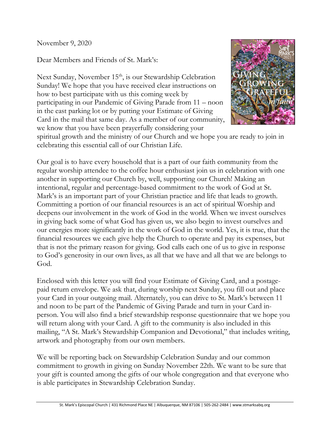November 9, 2020

Dear Members and Friends of St. Mark's:

Next Sunday, November 15<sup>th</sup>, is our Stewardship Celebration Sunday! We hope that you have received clear instructions on how to best participate with us this coming week by participating in our Pandemic of Giving Parade from 11 – noon in the east parking lot or by putting your Estimate of Giving Card in the mail that same day. As a member of our community, we know that you have been prayerfully considering your



spiritual growth and the ministry of our Church and we hope you are ready to join in celebrating this essential call of our Christian Life.

Our goal is to have every household that is a part of our faith community from the regular worship attendee to the coffee hour enthusiast join us in celebration with one another in supporting our Church by, well, supporting our Church! Making an intentional, regular and percentage-based commitment to the work of God at St. Mark's is an important part of your Christian practice and life that leads to growth. Committing a portion of our financial resources is an act of spiritual Worship and deepens our involvement in the work of God in the world. When we invest ourselves in giving back some of what God has given us, we also begin to invest ourselves and our energies more significantly in the work of God in the world. Yes, it is true, that the financial resources we each give help the Church to operate and pay its expenses, but that is not the primary reason for giving. God calls each one of us to give in response to God's generosity in our own lives, as all that we have and all that we are belongs to God.

Enclosed with this letter you will find your Estimate of Giving Card, and a postagepaid return envelope. We ask that, during worship next Sunday, you fill out and place your Card in your outgoing mail. Alternately, you can drive to St. Mark's between 11 and noon to be part of the Pandemic of Giving Parade and turn in your Card inperson. You will also find a brief stewardship response questionnaire that we hope you will return along with your Card. A gift to the community is also included in this mailing, "A St. Mark's Stewardship Companion and Devotional," that includes writing, artwork and photography from our own members.

We will be reporting back on Stewardship Celebration Sunday and our common commitment to growth in giving on Sunday November 22th. We want to be sure that your gift is counted among the gifts of our whole congregation and that everyone who is able participates in Stewardship Celebration Sunday.